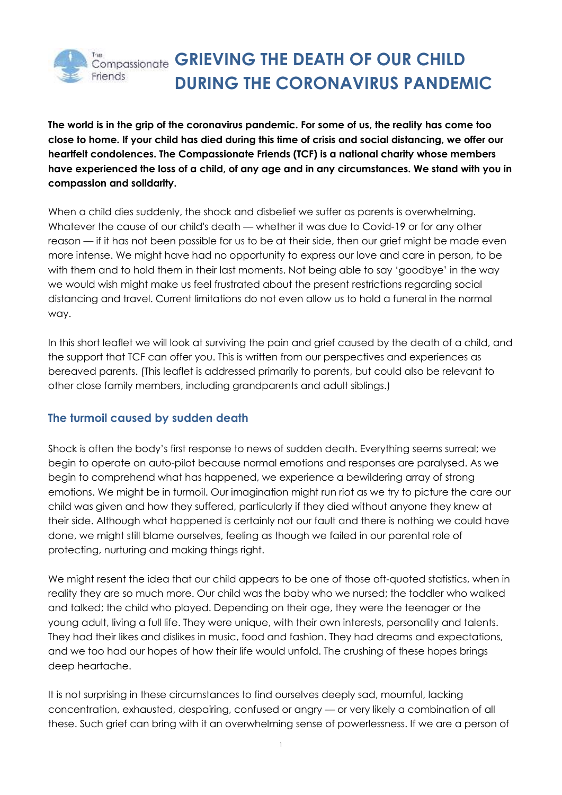

The world is in the grip of the coronavirus pandemic. For some of us, the reality has come too close to home. If your child has died during this time of crisis and social distancing, we offer our **heartfelt condolences. The Compassionate Friends (TCF) is a national charity whose members** have experienced the loss of a child, of any age and in any circumstances. We stand with you in **compassion and solidarity.**

When a child dies suddenly, the shock and disbelief we suffer as parents is overwhelming. Whatever the cause of our child's death — whether it was due to Covid-19 or for any other reason — if it has not been possible for us to be at their side, then our grief might be made even more intense. We might have had no opportunity to express our love and care in person, to be with them and to hold them in their last moments. Not being able to say 'goodbye' in the way we would wish might make us feel frustrated about the present restrictions regarding social distancing and travel. Current limitations do not even allow us to hold a funeral in the normal way.

In this short leaflet we will look at surviving the pain and grief caused by the death of a child, and the support that TCF can offer you. This is written from our perspectives and experiences as bereaved parents. (This leaflet is addressed primarily to parents, but could also be relevant to other close family members, including grandparents and adult siblings.)

# **The turmoil caused by sudden death**

Shock is often the body's first response to news of sudden death. Everything seems surreal; we begin to operate on auto-pilot because normal emotions and responses are paralysed. As we begin to comprehend what has happened, we experience a bewildering array of strong emotions. We might be in turmoil. Our imagination might run riot as we try to picture the care our child was given and how they suffered, particularly if they died without anyone they knew at their side. Although what happened is certainly not our fault and there is nothing we could have done, we might still blame ourselves, feeling as though we failed in our parental role of protecting, nurturing and making things right.

We might resent the idea that our child appears to be one of those oft-quoted statistics, when in reality they are so much more. Our child was the baby who we nursed; the toddler who walked and talked; the child who played. Depending on their age, they were the teenager or the young adult, living a full life. They were unique, with their own interests, personality and talents. They had their likes and dislikes in music, food and fashion. They had dreams and expectations, and we too had our hopes of how their life would unfold. The crushing of these hopes brings deep heartache.

It is not surprising in these circumstances to find ourselves deeply sad, mournful, lacking concentration, exhausted, despairing, confused or angry — or very likely a combination of all these. Such grief can bring with it an overwhelming sense of powerlessness. If we are a person of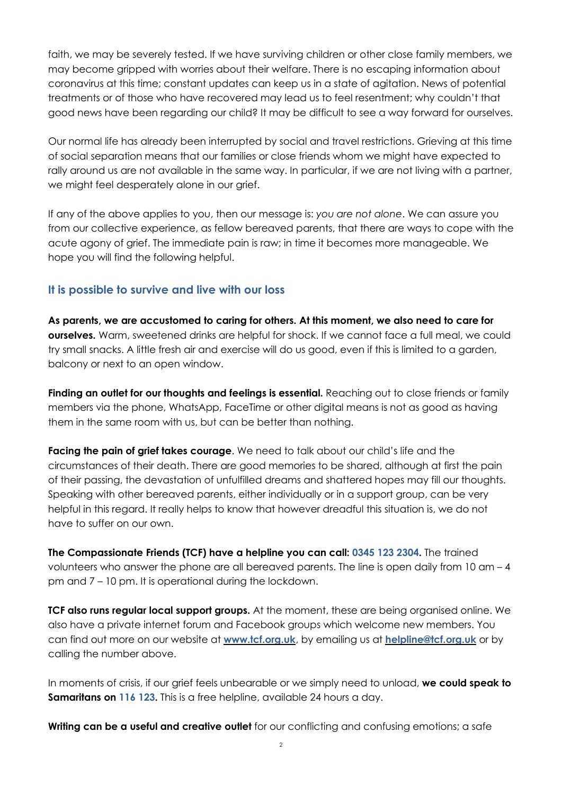faith, we may be severely tested. If we have surviving children or other close family members, we may become gripped with worries about their welfare. There is no escaping information about coronavirus at this time; constant updates can keep us in a state of agitation. News of potential treatments or of those who have recovered may lead us to feel resentment; why couldn't that good news have been regarding our child? It may be difficult to see a way forward for ourselves.

Our normal life has already been interrupted by social and travel restrictions. Grieving at this time of social separation means that our families or close friends whom we might have expected to rally around us are not available in the same way. In particular, if we are not living with a partner, we might feel desperately alone in our grief.

If any of the above applies to you, then our message is: *you are not alone*. We can assure you from our collective experience, as fellow bereaved parents, that there are ways to cope with the acute agony of grief. The immediate pain is raw; in time it becomes more manageable. We hope you will find the following helpful.

# **It is possible to survive and live with our loss**

**As parents, we are accustomed to caring for others. At this moment, we also need to care for ourselves.** Warm, sweetened drinks are helpful for shock. If we cannot face a full meal, we could try small snacks. A little fresh air and exercise will do us good, even if this is limited to a garden, balcony or next to an open window.

**Finding an outlet for our thoughts and feelings is essential.** Reaching out to close friends or family members via the phone, WhatsApp, FaceTime or other digital means is not as good as having them in the same room with us, but can be better than nothing.

**Facing the pain of grief takes courage**. We need to talk about our child's life and the circumstances of their death. There are good memories to be shared, although at first the pain of their passing, the devastation of unfulfilled dreams and shattered hopes may fill our thoughts. Speaking with other bereaved parents, either individually or in a support group, can be very helpful in this regard. It really helps to know that however dreadful this situation is, we do not have to suffer on our own.

**The Compassionate Friends (TCF) have a helpline you can call: 0345 123 2304.** The trained volunteers who answer the phone are all bereaved parents. The line is open daily from 10 am – 4 pm and 7 – 10 pm. It is operational during the lockdown.

**TCF also runs regular local support groups.** At the moment, these are being organised online. We also have a private internet forum and Facebook groups which welcome new members. You can find out more on our website at **[www.tcf.org.uk](http://www.tcf.org.uk/)**, by emailing us at **[helpline@tcf.org.uk](mailto:helpline@tcf.org.uk)** or by calling the number above.

In moments of crisis, if our grief feels unbearable or we simply need to unload, **we could speak to Samaritans on 116 123.** This is a free helpline, available 24 hours a day.

**Writing can be a useful and creative outlet** for our conflicting and confusing emotions; a safe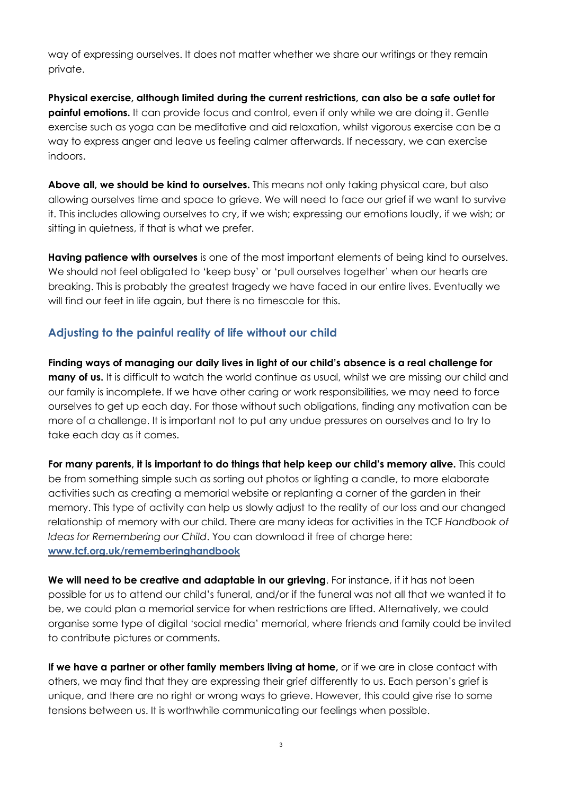way of expressing ourselves. It does not matter whether we share our writings or they remain private.

**Physical exercise, although limited during the current restrictions, can also be a safe outlet for painful emotions.** It can provide focus and control, even if only while we are doing it. Gentle exercise such as yoga can be meditative and aid relaxation, whilst vigorous exercise can be a way to express anger and leave us feeling calmer afterwards. If necessary, we can exercise indoors.

**Above all, we should be kind to ourselves.** This means not only taking physical care, but also allowing ourselves time and space to grieve. We will need to face our grief if we want to survive it. This includes allowing ourselves to cry, if we wish; expressing our emotions loudly, if we wish; or sitting in quietness, if that is what we prefer.

**Having patience with ourselves** is one of the most important elements of being kind to ourselves. We should not feel obligated to 'keep busy' or 'pull ourselves together' when our hearts are breaking. This is probably the greatest tragedy we have faced in our entire lives. Eventually we will find our feet in life again, but there is no timescale for this.

# **Adjusting to the painful reality of life without our child**

**Finding ways of managing our daily lives in light of our child's absence is a real challenge for many of us.** It is difficult to watch the world continue as usual, whilst we are missing our child and our family is incomplete. If we have other caring or work responsibilities, we may need to force ourselves to get up each day. For those without such obligations, finding any motivation can be more of a challenge. It is important not to put any undue pressures on ourselves and to try to take each day as it comes.

**For many parents, it is important to do things that help keep our child's memory alive.** This could be from something simple such as sorting out photos or lighting a candle, to more elaborate activities such as creating a memorial website or replanting a corner of the garden in their memory. This type of activity can help us slowly adjust to the reality of our loss and our changed relationship of memory with our child. There are many ideas for activities in the TCF *Handbook of Ideas for Remembering our Child*. You can download it free of charge here: **[www.tcf.org.uk/rememberinghandbook](http://www.tcf.org.uk/rememberinghandbook)**

**We will need to be creative and adaptable in our grieving**. For instance, if it has not been possible for us to attend our child's funeral, and/or if the funeral was not all that we wanted it to be, we could plan a memorial service for when restrictions are lifted. Alternatively, we could organise some type of digital 'social media' memorial, where friends and family could be invited to contribute pictures or comments.

**If we have a partner or other family members living at home,** or if we are in close contact with others, we may find that they are expressing their grief differently to us. Each person's grief is unique, and there are no right or wrong ways to grieve. However, this could give rise to some tensions between us. It is worthwhile communicating our feelings when possible.